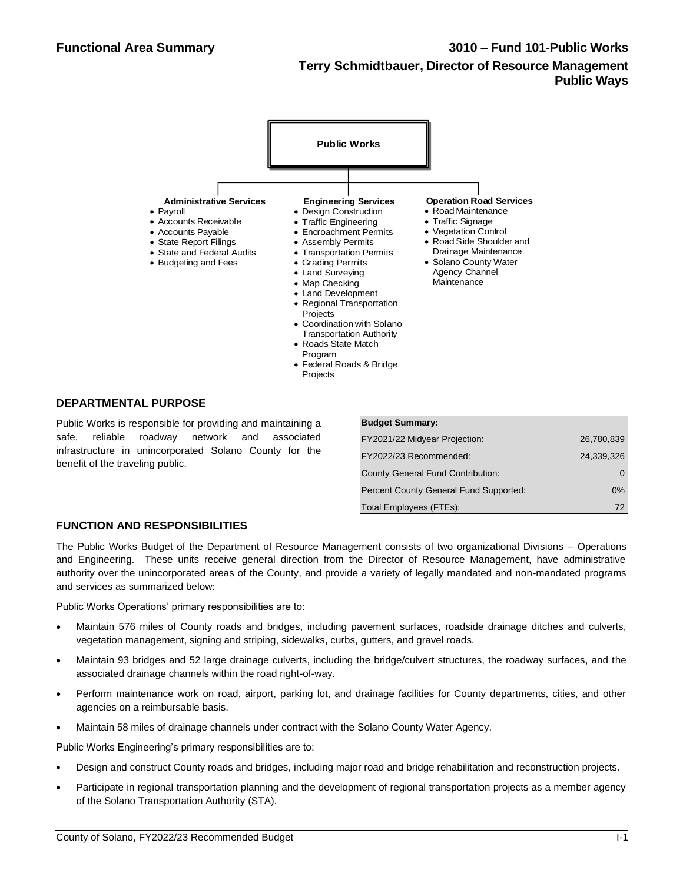

### **DEPARTMENTAL PURPOSE**

Public Works is responsible for providing and maintaining a safe, reliable roadway network and associated infrastructure in unincorporated Solano County for the benefit of the traveling public.

| <b>Budget Summary:</b>                 |            |
|----------------------------------------|------------|
| FY2021/22 Midyear Projection:          | 26,780,839 |
| FY2022/23 Recommended:                 | 24.339.326 |
| County General Fund Contribution:      |            |
| Percent County General Fund Supported: | $0\%$      |
| Total Employees (FTEs):                | 72         |

# **FUNCTION AND RESPONSIBILITIES**

The Public Works Budget of the Department of Resource Management consists of two organizational Divisions – Operations and Engineering. These units receive general direction from the Director of Resource Management, have administrative authority over the unincorporated areas of the County, and provide a variety of legally mandated and non-mandated programs and services as summarized below:

Public Works Operations' primary responsibilities are to:

- Maintain 576 miles of County roads and bridges, including pavement surfaces, roadside drainage ditches and culverts, vegetation management, signing and striping, sidewalks, curbs, gutters, and gravel roads.
- Maintain 93 bridges and 52 large drainage culverts, including the bridge/culvert structures, the roadway surfaces, and the associated drainage channels within the road right-of-way.
- Perform maintenance work on road, airport, parking lot, and drainage facilities for County departments, cities, and other agencies on a reimbursable basis.
- Maintain 58 miles of drainage channels under contract with the Solano County Water Agency.

Public Works Engineering's primary responsibilities are to:

- Design and construct County roads and bridges, including major road and bridge rehabilitation and reconstruction projects.
- Participate in regional transportation planning and the development of regional transportation projects as a member agency of the Solano Transportation Authority (STA).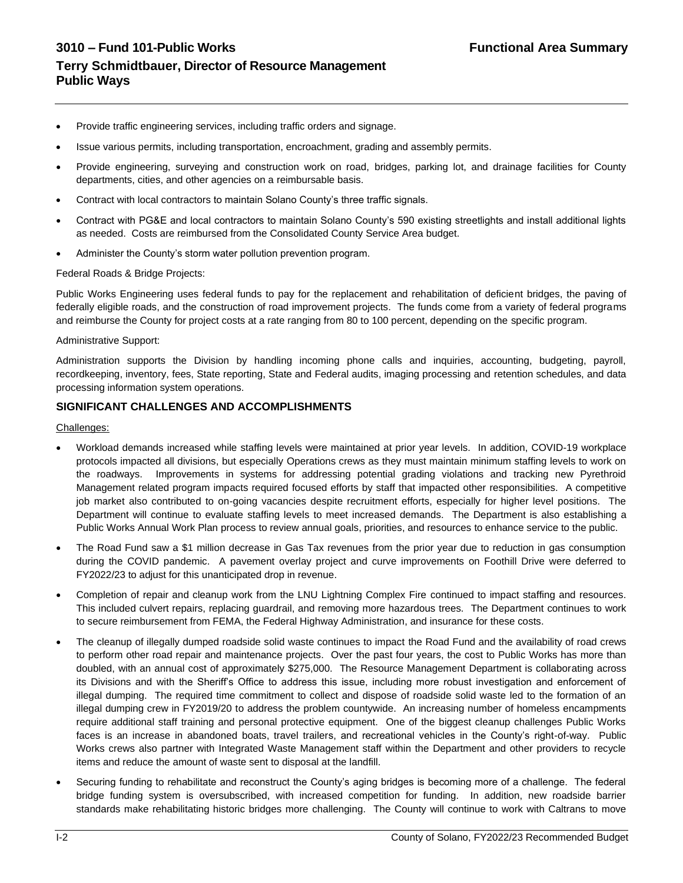- Provide traffic engineering services, including traffic orders and signage.
- Issue various permits, including transportation, encroachment, grading and assembly permits.
- Provide engineering, surveying and construction work on road, bridges, parking lot, and drainage facilities for County departments, cities, and other agencies on a reimbursable basis.
- Contract with local contractors to maintain Solano County's three traffic signals.
- Contract with PG&E and local contractors to maintain Solano County's 590 existing streetlights and install additional lights as needed. Costs are reimbursed from the Consolidated County Service Area budget.
- Administer the County's storm water pollution prevention program.

#### Federal Roads & Bridge Projects:

Public Works Engineering uses federal funds to pay for the replacement and rehabilitation of deficient bridges, the paving of federally eligible roads, and the construction of road improvement projects. The funds come from a variety of federal programs and reimburse the County for project costs at a rate ranging from 80 to 100 percent, depending on the specific program.

#### Administrative Support:

Administration supports the Division by handling incoming phone calls and inquiries, accounting, budgeting, payroll, recordkeeping, inventory, fees, State reporting, State and Federal audits, imaging processing and retention schedules, and data processing information system operations.

#### **SIGNIFICANT CHALLENGES AND ACCOMPLISHMENTS**

#### Challenges:

- Workload demands increased while staffing levels were maintained at prior year levels. In addition, COVID-19 workplace protocols impacted all divisions, but especially Operations crews as they must maintain minimum staffing levels to work on the roadways. Improvements in systems for addressing potential grading violations and tracking new Pyrethroid Management related program impacts required focused efforts by staff that impacted other responsibilities. A competitive job market also contributed to on-going vacancies despite recruitment efforts, especially for higher level positions. The Department will continue to evaluate staffing levels to meet increased demands. The Department is also establishing a Public Works Annual Work Plan process to review annual goals, priorities, and resources to enhance service to the public.
- The Road Fund saw a \$1 million decrease in Gas Tax revenues from the prior year due to reduction in gas consumption during the COVID pandemic. A pavement overlay project and curve improvements on Foothill Drive were deferred to FY2022/23 to adjust for this unanticipated drop in revenue.
- Completion of repair and cleanup work from the LNU Lightning Complex Fire continued to impact staffing and resources. This included culvert repairs, replacing guardrail, and removing more hazardous trees. The Department continues to work to secure reimbursement from FEMA, the Federal Highway Administration, and insurance for these costs.
- The cleanup of illegally dumped roadside solid waste continues to impact the Road Fund and the availability of road crews to perform other road repair and maintenance projects. Over the past four years, the cost to Public Works has more than doubled, with an annual cost of approximately \$275,000. The Resource Management Department is collaborating across its Divisions and with the Sheriff's Office to address this issue, including more robust investigation and enforcement of illegal dumping. The required time commitment to collect and dispose of roadside solid waste led to the formation of an illegal dumping crew in FY2019/20 to address the problem countywide. An increasing number of homeless encampments require additional staff training and personal protective equipment. One of the biggest cleanup challenges Public Works faces is an increase in abandoned boats, travel trailers, and recreational vehicles in the County's right-of-way. Public Works crews also partner with Integrated Waste Management staff within the Department and other providers to recycle items and reduce the amount of waste sent to disposal at the landfill.
- Securing funding to rehabilitate and reconstruct the County's aging bridges is becoming more of a challenge. The federal bridge funding system is oversubscribed, with increased competition for funding. In addition, new roadside barrier standards make rehabilitating historic bridges more challenging. The County will continue to work with Caltrans to move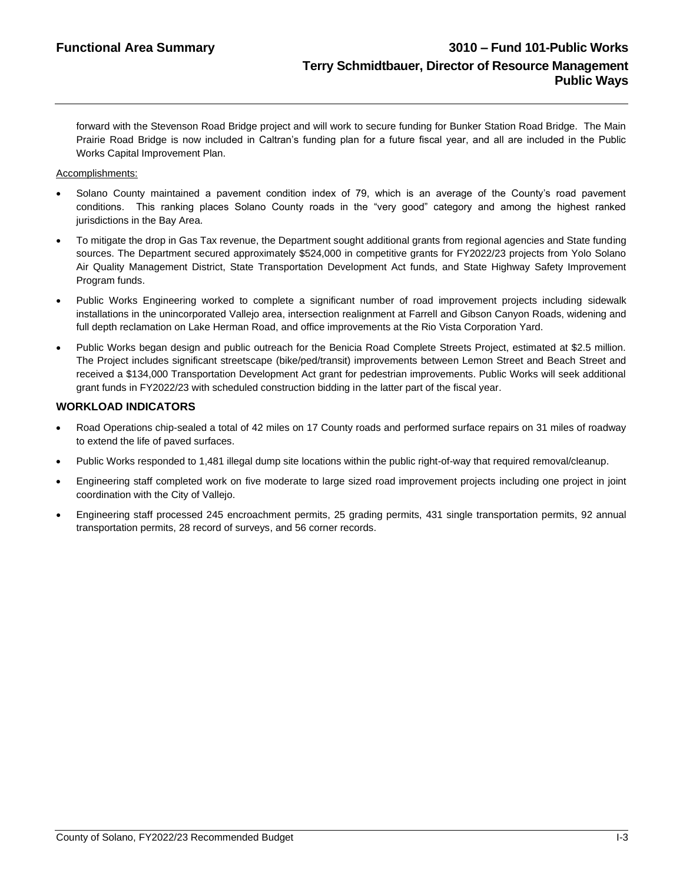forward with the Stevenson Road Bridge project and will work to secure funding for Bunker Station Road Bridge. The Main Prairie Road Bridge is now included in Caltran's funding plan for a future fiscal year, and all are included in the Public Works Capital Improvement Plan.

#### Accomplishments:

- Solano County maintained a pavement condition index of 79, which is an average of the County's road pavement conditions. This ranking places Solano County roads in the "very good" category and among the highest ranked jurisdictions in the Bay Area.
- To mitigate the drop in Gas Tax revenue, the Department sought additional grants from regional agencies and State funding sources. The Department secured approximately \$524,000 in competitive grants for FY2022/23 projects from Yolo Solano Air Quality Management District, State Transportation Development Act funds, and State Highway Safety Improvement Program funds.
- Public Works Engineering worked to complete a significant number of road improvement projects including sidewalk installations in the unincorporated Vallejo area, intersection realignment at Farrell and Gibson Canyon Roads, widening and full depth reclamation on Lake Herman Road, and office improvements at the Rio Vista Corporation Yard.
- Public Works began design and public outreach for the Benicia Road Complete Streets Project, estimated at \$2.5 million. The Project includes significant streetscape (bike/ped/transit) improvements between Lemon Street and Beach Street and received a \$134,000 Transportation Development Act grant for pedestrian improvements. Public Works will seek additional grant funds in FY2022/23 with scheduled construction bidding in the latter part of the fiscal year.

# **WORKLOAD INDICATORS**

- Road Operations chip-sealed a total of 42 miles on 17 County roads and performed surface repairs on 31 miles of roadway to extend the life of paved surfaces.
- Public Works responded to 1,481 illegal dump site locations within the public right-of-way that required removal/cleanup.
- Engineering staff completed work on five moderate to large sized road improvement projects including one project in joint coordination with the City of Vallejo.
- Engineering staff processed 245 encroachment permits, 25 grading permits, 431 single transportation permits, 92 annual transportation permits, 28 record of surveys, and 56 corner records.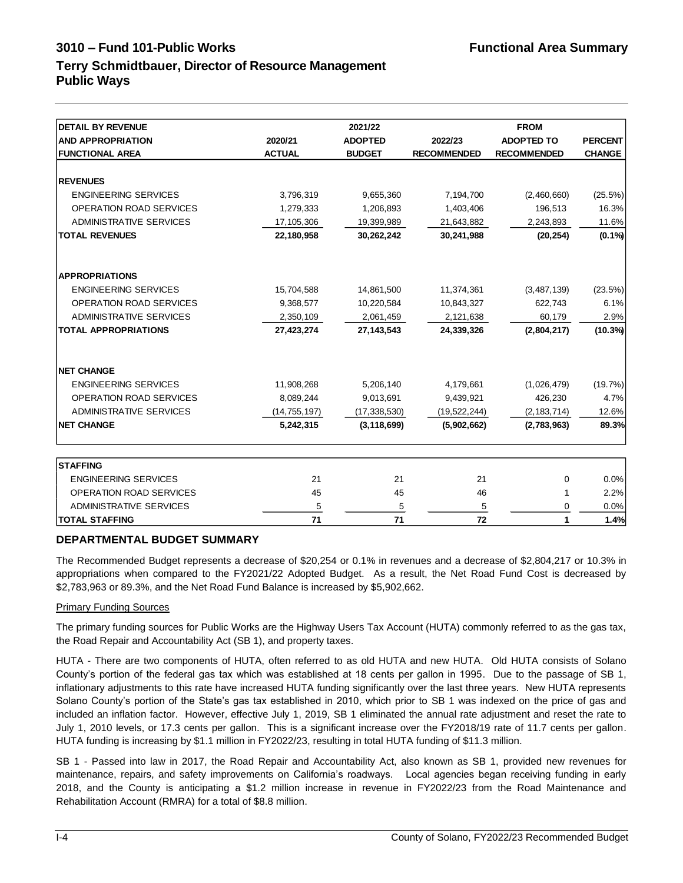# **3010 – Fund 101-Public Works Functional Area Summary Terry Schmidtbauer, Director of Resource Management Public Ways**

| <b>DETAIL BY REVENUE</b>       |                | 2021/22        |                    |                    |                |
|--------------------------------|----------------|----------------|--------------------|--------------------|----------------|
| <b>AND APPROPRIATION</b>       | 2020/21        | <b>ADOPTED</b> | 2022/23            | <b>ADOPTED TO</b>  | <b>PERCENT</b> |
| <b>FUNCTIONAL AREA</b>         | <b>ACTUAL</b>  | <b>BUDGET</b>  | <b>RECOMMENDED</b> | <b>RECOMMENDED</b> | <b>CHANGE</b>  |
|                                |                |                |                    |                    |                |
| <b>REVENUES</b>                |                |                |                    |                    |                |
| <b>ENGINEERING SERVICES</b>    | 3,796,319      | 9,655,360      | 7,194,700          | (2,460,660)        | (25.5%)        |
| OPERATION ROAD SERVICES        | 1,279,333      | 1,206,893      | 1,403,406          | 196,513            | 16.3%          |
| ADMINISTRATIVE SERVICES        | 17,105,306     | 19,399,989     | 21,643,882         | 2,243,893          | 11.6%          |
| <b>TOTAL REVENUES</b>          | 22,180,958     | 30,262,242     | 30,241,988         | (20, 254)          | $(0.1\%)$      |
| <b>APPROPRIATIONS</b>          |                |                |                    |                    |                |
| <b>ENGINEERING SERVICES</b>    | 15,704,588     | 14,861,500     | 11,374,361         | (3,487,139)        | (23.5%)        |
| OPERATION ROAD SERVICES        | 9,368,577      | 10,220,584     | 10,843,327         | 622,743            | 6.1%           |
| <b>ADMINISTRATIVE SERVICES</b> | 2,350,109      | 2,061,459      | 2,121,638          | 60,179             | 2.9%           |
| <b>TOTAL APPROPRIATIONS</b>    | 27,423,274     | 27, 143, 543   | 24,339,326         | (2,804,217)        | $(10.3\%)$     |
| <b>NET CHANGE</b>              |                |                |                    |                    |                |
| <b>ENGINEERING SERVICES</b>    | 11,908,268     | 5,206,140      | 4,179,661          | (1,026,479)        | (19.7%)        |
| OPERATION ROAD SERVICES        | 8,089,244      | 9,013,691      | 9,439,921          | 426,230            | 4.7%           |
| <b>ADMINISTRATIVE SERVICES</b> | (14, 755, 197) | (17, 338, 530) | (19, 522, 244)     | (2, 183, 714)      | 12.6%          |
| <b>NET CHANGE</b>              | 5,242,315      | (3, 118, 699)  | (5,902,662)        | (2,783,963)        | 89.3%          |
| <b>STAFFING</b>                |                |                |                    |                    |                |
| <b>ENGINEERING SERVICES</b>    | 21             | 21             | 21                 | 0                  | 0.0%           |
| OPERATION ROAD SERVICES        | 45             | 45             | 46                 | 1                  | 2.2%           |
| <b>ADMINISTRATIVE SERVICES</b> | 5              | 5              | 5                  | 0                  | 0.0%           |
| <b>TOTAL STAFFING</b>          | 71             | 71             | 72                 | 1                  | 1.4%           |

# **DEPARTMENTAL BUDGET SUMMARY**

The Recommended Budget represents a decrease of \$20,254 or 0.1% in revenues and a decrease of \$2,804,217 or 10.3% in appropriations when compared to the FY2021/22 Adopted Budget. As a result, the Net Road Fund Cost is decreased by \$2,783,963 or 89.3%, and the Net Road Fund Balance is increased by \$5,902,662.

#### Primary Funding Sources

The primary funding sources for Public Works are the Highway Users Tax Account (HUTA) commonly referred to as the gas tax, the Road Repair and Accountability Act (SB 1), and property taxes.

HUTA - There are two components of HUTA, often referred to as old HUTA and new HUTA. Old HUTA consists of Solano County's portion of the federal gas tax which was established at 18 cents per gallon in 1995. Due to the passage of SB 1, inflationary adjustments to this rate have increased HUTA funding significantly over the last three years. New HUTA represents Solano County's portion of the State's gas tax established in 2010, which prior to SB 1 was indexed on the price of gas and included an inflation factor. However, effective July 1, 2019, SB 1 eliminated the annual rate adjustment and reset the rate to July 1, 2010 levels, or 17.3 cents per gallon. This is a significant increase over the FY2018/19 rate of 11.7 cents per gallon. HUTA funding is increasing by \$1.1 million in FY2022/23, resulting in total HUTA funding of \$11.3 million.

SB 1 - Passed into law in 2017, the Road Repair and Accountability Act, also known as SB 1, provided new revenues for maintenance, repairs, and safety improvements on California's roadways. Local agencies began receiving funding in early 2018, and the County is anticipating a \$1.2 million increase in revenue in FY2022/23 from the Road Maintenance and Rehabilitation Account (RMRA) for a total of \$8.8 million.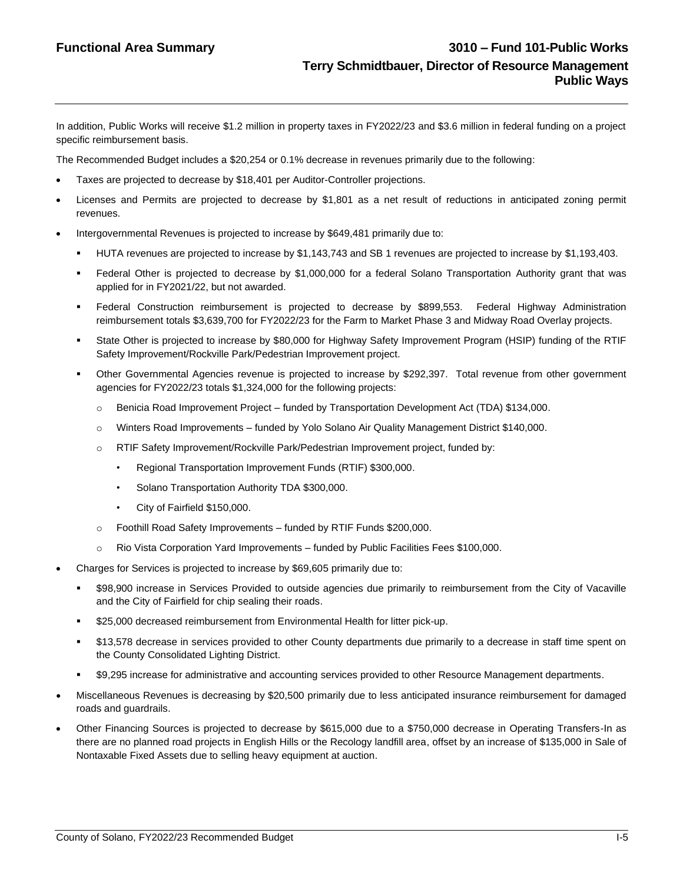In addition, Public Works will receive \$1.2 million in property taxes in FY2022/23 and \$3.6 million in federal funding on a project specific reimbursement basis.

The Recommended Budget includes a \$20,254 or 0.1% decrease in revenues primarily due to the following:

- Taxes are projected to decrease by \$18,401 per Auditor-Controller projections.
- Licenses and Permits are projected to decrease by \$1,801 as a net result of reductions in anticipated zoning permit revenues.
- Intergovernmental Revenues is projected to increase by \$649,481 primarily due to:
	- HUTA revenues are projected to increase by \$1,143,743 and SB 1 revenues are projected to increase by \$1,193,403.
	- Federal Other is projected to decrease by \$1,000,000 for a federal Solano Transportation Authority grant that was applied for in FY2021/22, but not awarded.
	- Federal Construction reimbursement is projected to decrease by \$899,553. Federal Highway Administration reimbursement totals \$3,639,700 for FY2022/23 for the Farm to Market Phase 3 and Midway Road Overlay projects.
	- State Other is projected to increase by \$80,000 for Highway Safety Improvement Program (HSIP) funding of the RTIF Safety Improvement/Rockville Park/Pedestrian Improvement project.
	- Other Governmental Agencies revenue is projected to increase by \$292,397. Total revenue from other government agencies for FY2022/23 totals \$1,324,000 for the following projects:
		- o Benicia Road Improvement Project funded by Transportation Development Act (TDA) \$134,000.
		- o Winters Road Improvements funded by Yolo Solano Air Quality Management District \$140,000.
		- o RTIF Safety Improvement/Rockville Park/Pedestrian Improvement project, funded by:
			- Regional Transportation Improvement Funds (RTIF) \$300,000.
			- Solano Transportation Authority TDA \$300,000.
			- City of Fairfield \$150,000.
		- o Foothill Road Safety Improvements funded by RTIF Funds \$200,000.
		- $\circ$  Rio Vista Corporation Yard Improvements funded by Public Facilities Fees \$100,000.
- Charges for Services is projected to increase by \$69,605 primarily due to:
	- \$98,900 increase in Services Provided to outside agencies due primarily to reimbursement from the City of Vacaville and the City of Fairfield for chip sealing their roads.
	- \$25,000 decreased reimbursement from Environmental Health for litter pick-up.
	- \$13,578 decrease in services provided to other County departments due primarily to a decrease in staff time spent on the County Consolidated Lighting District.
	- \$9,295 increase for administrative and accounting services provided to other Resource Management departments.
- Miscellaneous Revenues is decreasing by \$20,500 primarily due to less anticipated insurance reimbursement for damaged roads and guardrails.
- Other Financing Sources is projected to decrease by \$615,000 due to a \$750,000 decrease in Operating Transfers-In as there are no planned road projects in English Hills or the Recology landfill area, offset by an increase of \$135,000 in Sale of Nontaxable Fixed Assets due to selling heavy equipment at auction.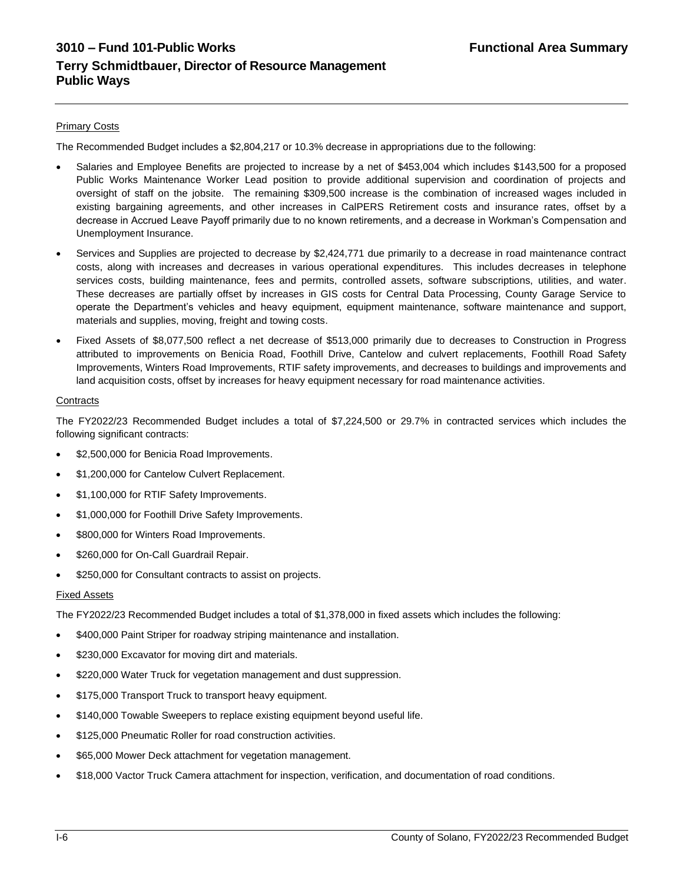#### **Primary Costs**

The Recommended Budget includes a \$2,804,217 or 10.3% decrease in appropriations due to the following:

- Salaries and Employee Benefits are projected to increase by a net of \$453,004 which includes \$143,500 for a proposed Public Works Maintenance Worker Lead position to provide additional supervision and coordination of projects and oversight of staff on the jobsite. The remaining \$309,500 increase is the combination of increased wages included in existing bargaining agreements, and other increases in CalPERS Retirement costs and insurance rates, offset by a decrease in Accrued Leave Payoff primarily due to no known retirements, and a decrease in Workman's Compensation and Unemployment Insurance.
- Services and Supplies are projected to decrease by \$2,424,771 due primarily to a decrease in road maintenance contract costs, along with increases and decreases in various operational expenditures. This includes decreases in telephone services costs, building maintenance, fees and permits, controlled assets, software subscriptions, utilities, and water. These decreases are partially offset by increases in GIS costs for Central Data Processing, County Garage Service to operate the Department's vehicles and heavy equipment, equipment maintenance, software maintenance and support, materials and supplies, moving, freight and towing costs.
- Fixed Assets of \$8,077,500 reflect a net decrease of \$513,000 primarily due to decreases to Construction in Progress attributed to improvements on Benicia Road, Foothill Drive, Cantelow and culvert replacements, Foothill Road Safety Improvements, Winters Road Improvements, RTIF safety improvements, and decreases to buildings and improvements and land acquisition costs, offset by increases for heavy equipment necessary for road maintenance activities.

#### **Contracts**

The FY2022/23 Recommended Budget includes a total of \$7,224,500 or 29.7% in contracted services which includes the following significant contracts:

- \$2,500,000 for Benicia Road Improvements.
- \$1,200,000 for Cantelow Culvert Replacement.
- \$1,100,000 for RTIF Safety Improvements.
- \$1,000,000 for Foothill Drive Safety Improvements.
- \$800,000 for Winters Road Improvements.
- \$260,000 for On-Call Guardrail Repair.
- \$250,000 for Consultant contracts to assist on projects.

#### Fixed Assets

The FY2022/23 Recommended Budget includes a total of \$1,378,000 in fixed assets which includes the following:

- \$400,000 Paint Striper for roadway striping maintenance and installation.
- \$230,000 Excavator for moving dirt and materials.
- \$220,000 Water Truck for vegetation management and dust suppression.
- \$175,000 Transport Truck to transport heavy equipment.
- \$140,000 Towable Sweepers to replace existing equipment beyond useful life.
- \$125,000 Pneumatic Roller for road construction activities.
- \$65,000 Mower Deck attachment for vegetation management.
- \$18,000 Vactor Truck Camera attachment for inspection, verification, and documentation of road conditions.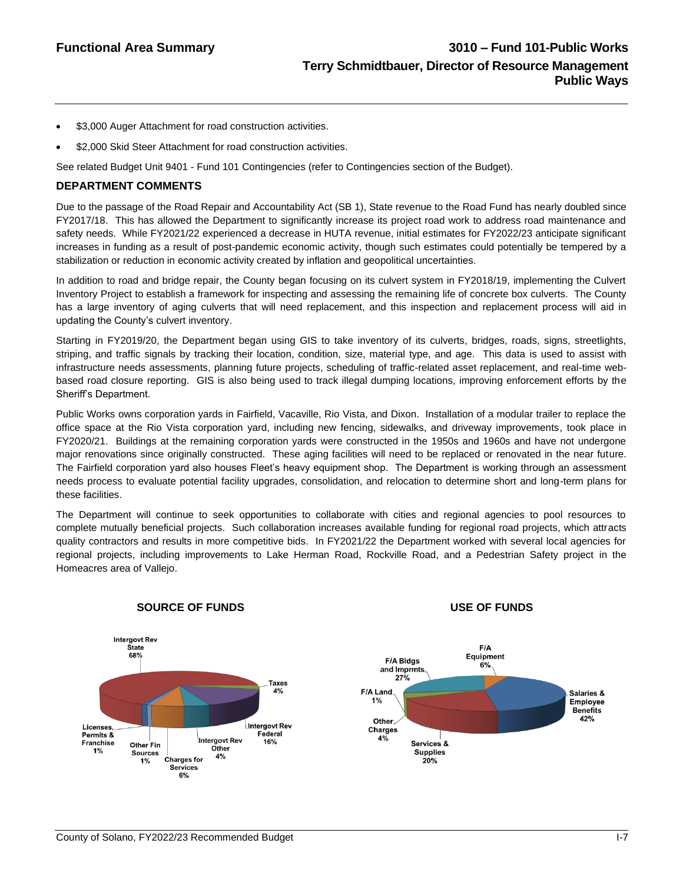- \$3,000 Auger Attachment for road construction activities.
- \$2,000 Skid Steer Attachment for road construction activities.

See related Budget Unit 9401 - Fund 101 Contingencies (refer to Contingencies section of the Budget).

#### **DEPARTMENT COMMENTS**

Due to the passage of the Road Repair and Accountability Act (SB 1), State revenue to the Road Fund has nearly doubled since FY2017/18. This has allowed the Department to significantly increase its project road work to address road maintenance and safety needs. While FY2021/22 experienced a decrease in HUTA revenue, initial estimates for FY2022/23 anticipate significant increases in funding as a result of post-pandemic economic activity, though such estimates could potentially be tempered by a stabilization or reduction in economic activity created by inflation and geopolitical uncertainties.

In addition to road and bridge repair, the County began focusing on its culvert system in FY2018/19, implementing the Culvert Inventory Project to establish a framework for inspecting and assessing the remaining life of concrete box culverts. The County has a large inventory of aging culverts that will need replacement, and this inspection and replacement process will aid in updating the County's culvert inventory.

Starting in FY2019/20, the Department began using GIS to take inventory of its culverts, bridges, roads, signs, streetlights, striping, and traffic signals by tracking their location, condition, size, material type, and age. This data is used to assist with infrastructure needs assessments, planning future projects, scheduling of traffic-related asset replacement, and real-time webbased road closure reporting. GIS is also being used to track illegal dumping locations, improving enforcement efforts by the Sheriff's Department.

Public Works owns corporation yards in Fairfield, Vacaville, Rio Vista, and Dixon. Installation of a modular trailer to replace the office space at the Rio Vista corporation yard, including new fencing, sidewalks, and driveway improvements, took place in FY2020/21. Buildings at the remaining corporation yards were constructed in the 1950s and 1960s and have not undergone major renovations since originally constructed. These aging facilities will need to be replaced or renovated in the near future. The Fairfield corporation yard also houses Fleet's heavy equipment shop. The Department is working through an assessment needs process to evaluate potential facility upgrades, consolidation, and relocation to determine short and long-term plans for these facilities.

The Department will continue to seek opportunities to collaborate with cities and regional agencies to pool resources to complete mutually beneficial projects. Such collaboration increases available funding for regional road projects, which attracts quality contractors and results in more competitive bids. In FY2021/22 the Department worked with several local agencies for regional projects, including improvements to Lake Herman Road, Rockville Road, and a Pedestrian Safety project in the Homeacres area of Vallejo.



# **SOURCE OF FUNDS USE OF FUNDS**



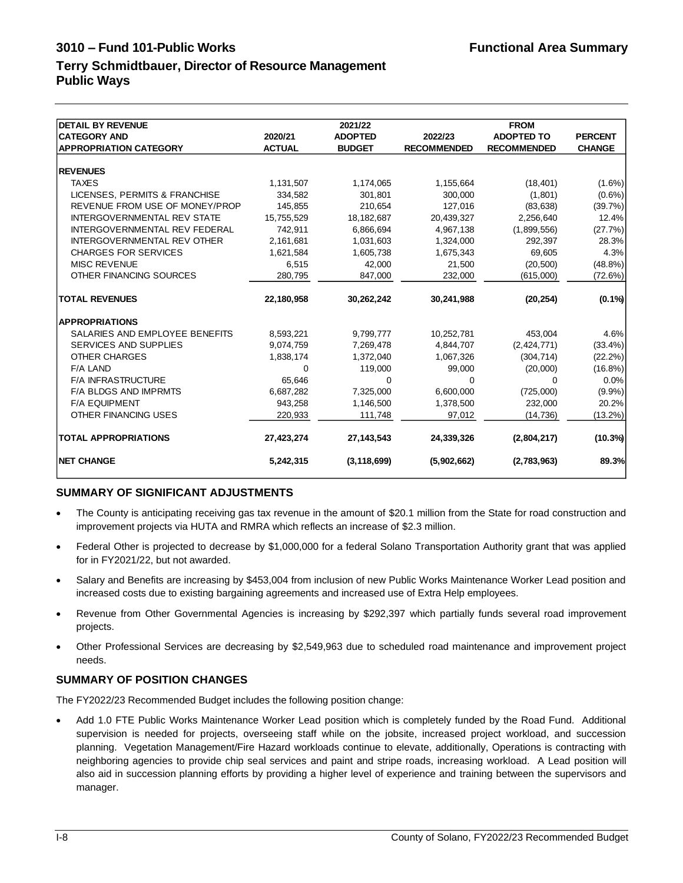# **Terry Schmidtbauer, Director of Resource Management Public Ways**

| <b>DETAIL BY REVENUE</b>           |               | 2021/22        |                    | <b>FROM</b>        |                |
|------------------------------------|---------------|----------------|--------------------|--------------------|----------------|
| <b>CATEGORY AND</b>                | 2020/21       | <b>ADOPTED</b> | 2022/23            | <b>ADOPTED TO</b>  | <b>PERCENT</b> |
| <b>APPROPRIATION CATEGORY</b>      | <b>ACTUAL</b> | <b>BUDGET</b>  | <b>RECOMMENDED</b> | <b>RECOMMENDED</b> | <b>CHANGE</b>  |
|                                    |               |                |                    |                    |                |
| <b>REVENUES</b>                    |               |                |                    |                    |                |
| <b>TAXES</b>                       | 1,131,507     | 1,174,065      | 1,155,664          | (18, 401)          | $(1.6\%)$      |
| LICENSES, PERMITS & FRANCHISE      | 334,582       | 301,801        | 300,000            | (1,801)            | $(0.6\%)$      |
| REVENUE FROM USE OF MONEY/PROP     | 145.855       | 210,654        | 127,016            | (83, 638)          | (39.7%)        |
| <b>INTERGOVERNMENTAL REV STATE</b> | 15,755,529    | 18, 182, 687   | 20,439,327         | 2,256,640          | 12.4%          |
| INTERGOVERNMENTAL REV FEDERAL      | 742.911       | 6,866,694      | 4,967,138          | (1,899,556)        | (27.7%)        |
| <b>INTERGOVERNMENTAL REV OTHER</b> | 2,161,681     | 1,031,603      | 1,324,000          | 292,397            | 28.3%          |
| <b>CHARGES FOR SERVICES</b>        | 1,621,584     | 1,605,738      | 1,675,343          | 69,605             | 4.3%           |
| <b>MISC REVENUE</b>                | 6,515         | 42,000         | 21,500             | (20, 500)          | $(48.8\%)$     |
| OTHER FINANCING SOURCES            | 280,795       | 847,000        | 232,000            | (615,000)          | (72.6%)        |
| <b>TOTAL REVENUES</b>              | 22,180,958    | 30,262,242     | 30,241,988         | (20, 254)          | $(0.1\%)$      |
| <b>APPROPRIATIONS</b>              |               |                |                    |                    |                |
| SALARIES AND EMPLOYEE BENEFITS     | 8,593,221     | 9,799,777      | 10,252,781         | 453,004            | 4.6%           |
| <b>SERVICES AND SUPPLIES</b>       | 9,074,759     | 7,269,478      | 4,844,707          | (2, 424, 771)      | $(33.4\%)$     |
| OTHER CHARGES                      | 1,838,174     | 1,372,040      | 1,067,326          | (304, 714)         | $(22.2\%)$     |
| <b>F/A LAND</b>                    | $\Omega$      | 119,000        | 99,000             | (20,000)           | $(16.8\%)$     |
| <b>F/A INFRASTRUCTURE</b>          | 65.646        | 0              | $\Omega$           | $\Omega$           | 0.0%           |
| <b>F/A BLDGS AND IMPRMTS</b>       | 6,687,282     | 7,325,000      | 6,600,000          | (725,000)          | $(9.9\%)$      |
| <b>F/A EQUIPMENT</b>               | 943,258       | 1,146,500      | 1,378,500          | 232,000            | 20.2%          |
| OTHER FINANCING USES               | 220,933       | 111,748        | 97,012             | (14, 736)          | $(13.2\%)$     |
| <b>TOTAL APPROPRIATIONS</b>        | 27,423,274    | 27, 143, 543   | 24,339,326         | (2,804,217)        | $(10.3\%)$     |
| <b>INET CHANGE</b>                 | 5,242,315     | (3, 118, 699)  | (5,902,662)        | (2,783,963)        | 89.3%          |

# **SUMMARY OF SIGNIFICANT ADJUSTMENTS**

- The County is anticipating receiving gas tax revenue in the amount of \$20.1 million from the State for road construction and improvement projects via HUTA and RMRA which reflects an increase of \$2.3 million.
- Federal Other is projected to decrease by \$1,000,000 for a federal Solano Transportation Authority grant that was applied for in FY2021/22, but not awarded.
- Salary and Benefits are increasing by \$453,004 from inclusion of new Public Works Maintenance Worker Lead position and increased costs due to existing bargaining agreements and increased use of Extra Help employees.
- Revenue from Other Governmental Agencies is increasing by \$292,397 which partially funds several road improvement projects.
- Other Professional Services are decreasing by \$2,549,963 due to scheduled road maintenance and improvement project needs.

# **SUMMARY OF POSITION CHANGES**

The FY2022/23 Recommended Budget includes the following position change:

• Add 1.0 FTE Public Works Maintenance Worker Lead position which is completely funded by the Road Fund. Additional supervision is needed for projects, overseeing staff while on the jobsite, increased project workload, and succession planning. Vegetation Management/Fire Hazard workloads continue to elevate, additionally, Operations is contracting with neighboring agencies to provide chip seal services and paint and stripe roads, increasing workload. A Lead position will also aid in succession planning efforts by providing a higher level of experience and training between the supervisors and manager.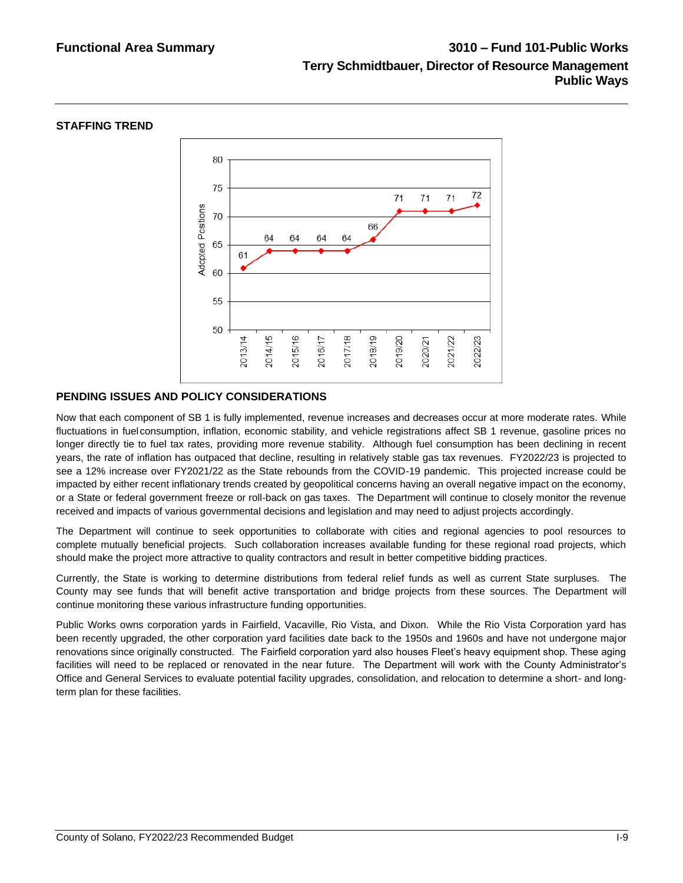#### **STAFFING TREND**



# **PENDING ISSUES AND POLICY CONSIDERATIONS**

Now that each component of SB 1 is fully implemented, revenue increases and decreases occur at more moderate rates. While fluctuations in fuelconsumption, inflation, economic stability, and vehicle registrations affect SB 1 revenue, gasoline prices no longer directly tie to fuel tax rates, providing more revenue stability. Although fuel consumption has been declining in recent years, the rate of inflation has outpaced that decline, resulting in relatively stable gas tax revenues. FY2022/23 is projected to see a 12% increase over FY2021/22 as the State rebounds from the COVID-19 pandemic. This projected increase could be impacted by either recent inflationary trends created by geopolitical concerns having an overall negative impact on the economy, or a State or federal government freeze or roll-back on gas taxes. The Department will continue to closely monitor the revenue received and impacts of various governmental decisions and legislation and may need to adjust projects accordingly.

The Department will continue to seek opportunities to collaborate with cities and regional agencies to pool resources to complete mutually beneficial projects. Such collaboration increases available funding for these regional road projects, which should make the project more attractive to quality contractors and result in better competitive bidding practices.

Currently, the State is working to determine distributions from federal relief funds as well as current State surpluses. The County may see funds that will benefit active transportation and bridge projects from these sources. The Department will continue monitoring these various infrastructure funding opportunities.

Public Works owns corporation yards in Fairfield, Vacaville, Rio Vista, and Dixon. While the Rio Vista Corporation yard has been recently upgraded, the other corporation yard facilities date back to the 1950s and 1960s and have not undergone major renovations since originally constructed. The Fairfield corporation yard also houses Fleet's heavy equipment shop. These aging facilities will need to be replaced or renovated in the near future. The Department will work with the County Administrator's Office and General Services to evaluate potential facility upgrades, consolidation, and relocation to determine a short- and longterm plan for these facilities.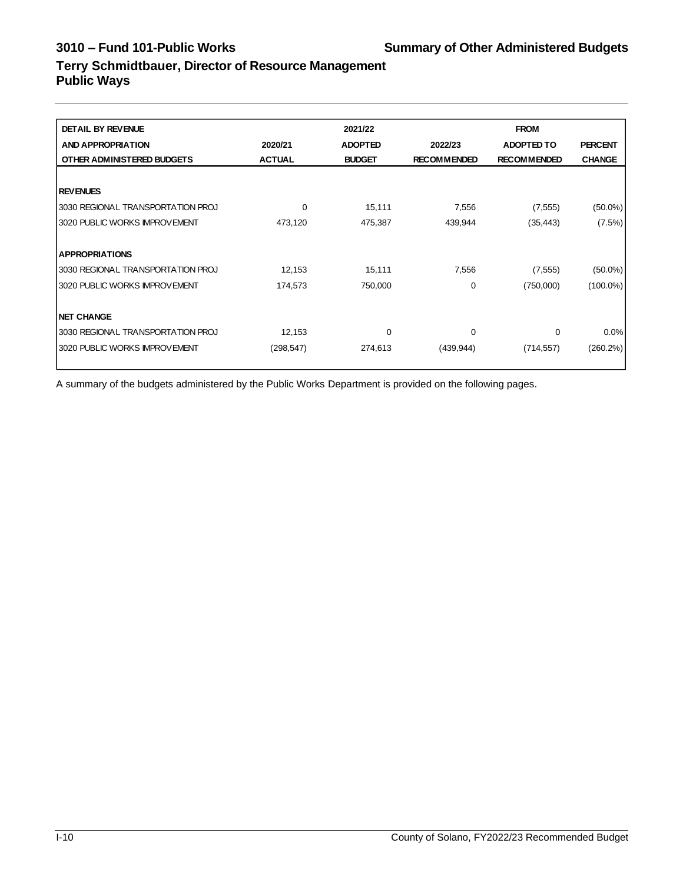# **Terry Schmidtbauer, Director of Resource Management Public Ways**

| <b>DETAIL BY REVENUE</b>          |               | 2021/22        |                    | <b>FROM</b>        |                |
|-----------------------------------|---------------|----------------|--------------------|--------------------|----------------|
| <b>AND APPROPRIATION</b>          | 2020/21       | <b>ADOPTED</b> | 2022/23            | <b>ADOPTED TO</b>  | <b>PERCENT</b> |
| OTHER ADMINISTERED BUDGETS        | <b>ACTUAL</b> | <b>BUDGET</b>  | <b>RECOMMENDED</b> | <b>RECOMMENDED</b> | <b>CHANGE</b>  |
|                                   |               |                |                    |                    |                |
| <b>REVENUES</b>                   |               |                |                    |                    |                |
| 3030 REGIONAL TRANSPORTATION PROJ | 0             | 15,111         | 7,556              | (7, 555)           | $(50.0\%)$     |
| 3020 PUBLIC WORKS IMPROVEMENT     | 473,120       | 475,387        | 439,944            | (35, 443)          | (7.5%)         |
|                                   |               |                |                    |                    |                |
| <b>APPROPRIATIONS</b>             |               |                |                    |                    |                |
| 3030 REGIONAL TRANSPORTATION PROJ | 12,153        | 15,111         | 7,556              | (7, 555)           | $(50.0\%)$     |
| 3020 PUBLIC WORKS IMPROVEMENT     | 174,573       | 750,000        | 0                  | (750,000)          | $(100.0\%)$    |
|                                   |               |                |                    |                    |                |
| <b>NET CHANGE</b>                 |               |                |                    |                    |                |
| 3030 REGIONAL TRANSPORTATION PROJ | 12,153        | 0              | 0                  | 0                  | $0.0\%$        |
| 3020 PUBLIC WORKS IMPROVEMENT     | (298, 547)    | 274,613        | (439, 944)         | (714, 557)         | $(260.2\%)$    |
|                                   |               |                |                    |                    |                |

A summary of the budgets administered by the Public Works Department is provided on the following pages.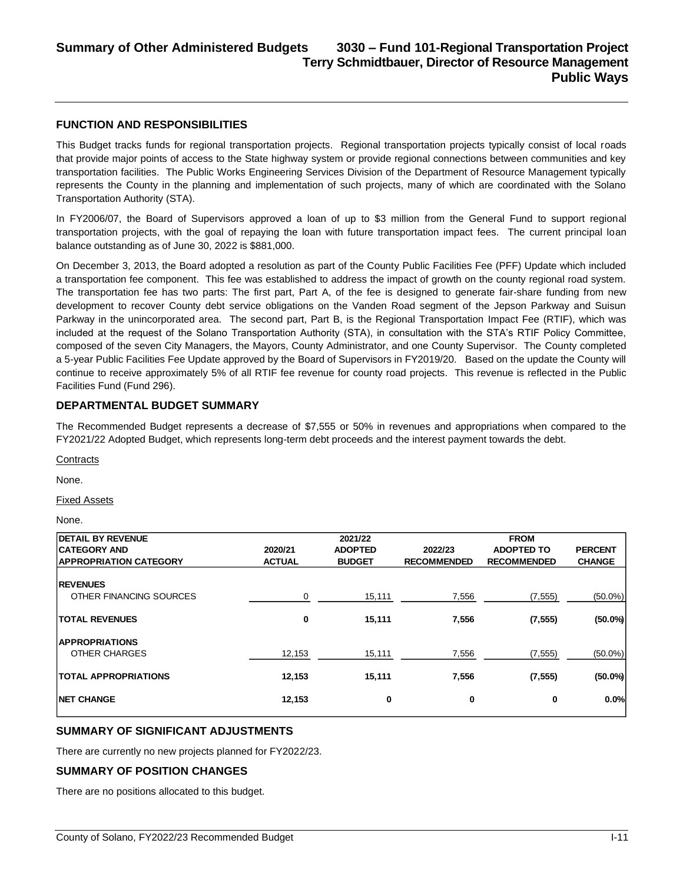#### **FUNCTION AND RESPONSIBILITIES**

This Budget tracks funds for regional transportation projects. Regional transportation projects typically consist of local roads that provide major points of access to the State highway system or provide regional connections between communities and key transportation facilities. The Public Works Engineering Services Division of the Department of Resource Management typically represents the County in the planning and implementation of such projects, many of which are coordinated with the Solano Transportation Authority (STA).

In FY2006/07, the Board of Supervisors approved a loan of up to \$3 million from the General Fund to support regional transportation projects, with the goal of repaying the loan with future transportation impact fees. The current principal loan balance outstanding as of June 30, 2022 is \$881,000.

On December 3, 2013, the Board adopted a resolution as part of the County Public Facilities Fee (PFF) Update which included a transportation fee component. This fee was established to address the impact of growth on the county regional road system. The transportation fee has two parts: The first part, Part A, of the fee is designed to generate fair-share funding from new development to recover County debt service obligations on the Vanden Road segment of the Jepson Parkway and Suisun Parkway in the unincorporated area. The second part, Part B, is the Regional Transportation Impact Fee (RTIF), which was included at the request of the Solano Transportation Authority (STA), in consultation with the STA's RTIF Policy Committee, composed of the seven City Managers, the Mayors, County Administrator, and one County Supervisor. The County completed a 5-year Public Facilities Fee Update approved by the Board of Supervisors in FY2019/20. Based on the update the County will continue to receive approximately 5% of all RTIF fee revenue for county road projects. This revenue is reflected in the Public Facilities Fund (Fund 296).

### **DEPARTMENTAL BUDGET SUMMARY**

The Recommended Budget represents a decrease of \$7,555 or 50% in revenues and appropriations when compared to the FY2021/22 Adopted Budget, which represents long-term debt proceeds and the interest payment towards the debt.

**Contracts** 

None.

Fixed Assets

None.

| <b>IDETAIL BY REVENUE</b>     |               | 2021/22        |                    | <b>FROM</b>        |                |
|-------------------------------|---------------|----------------|--------------------|--------------------|----------------|
| <b>CATEGORY AND</b>           | 2020/21       | <b>ADOPTED</b> | 2022/23            | <b>ADOPTED TO</b>  | <b>PERCENT</b> |
| <b>APPROPRIATION CATEGORY</b> | <b>ACTUAL</b> | <b>BUDGET</b>  | <b>RECOMMENDED</b> | <b>RECOMMENDED</b> | <b>CHANGE</b>  |
|                               |               |                |                    |                    |                |
| <b>REVENUES</b>               |               |                |                    |                    |                |
| OTHER FINANCING SOURCES       | 0             | 15,111         | 7,556              | (7, 555)           | $(50.0\%)$     |
|                               |               |                |                    |                    |                |
| <b>TOTAL REVENUES</b>         | 0             | 15,111         | 7,556              | (7, 555)           | $(50.0\%)$     |
| <b>APPROPRIATIONS</b>         |               |                |                    |                    |                |
| OTHER CHARGES                 | 12,153        | 15,111         | 7,556              | (7, 555)           | $(50.0\%)$     |
|                               |               |                |                    |                    |                |
| <b>TOTAL APPROPRIATIONS</b>   | 12,153        | 15,111         | 7,556              | (7, 555)           | $(50.0\%)$     |
| <b>INET CHANGE</b>            | 12,153        | 0              | 0                  | 0                  | 0.0%           |

# **SUMMARY OF SIGNIFICANT ADJUSTMENTS**

There are currently no new projects planned for FY2022/23.

#### **SUMMARY OF POSITION CHANGES**

There are no positions allocated to this budget.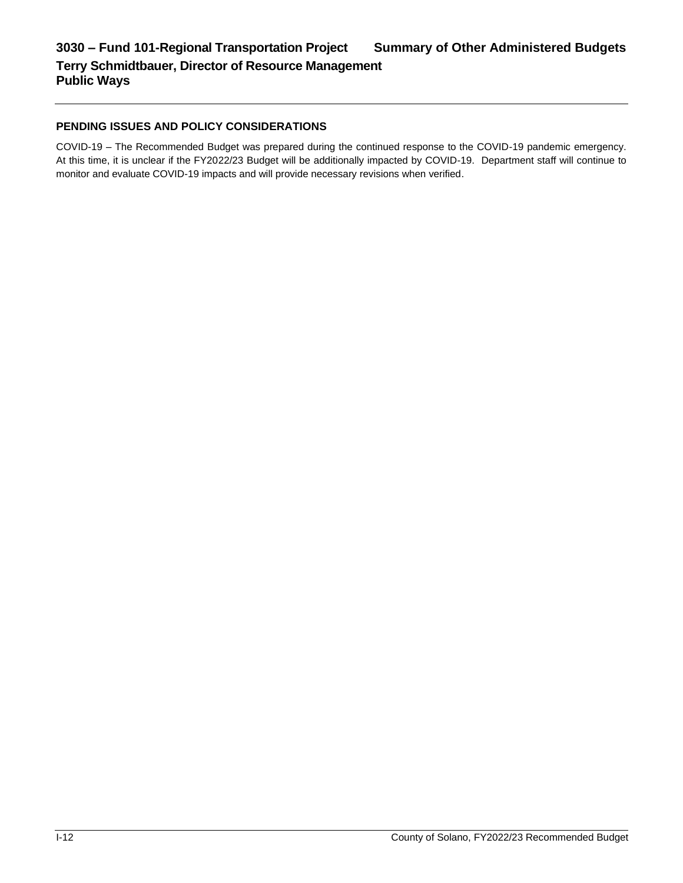# **PENDING ISSUES AND POLICY CONSIDERATIONS**

COVID-19 – The Recommended Budget was prepared during the continued response to the COVID-19 pandemic emergency. At this time, it is unclear if the FY2022/23 Budget will be additionally impacted by COVID-19. Department staff will continue to monitor and evaluate COVID-19 impacts and will provide necessary revisions when verified.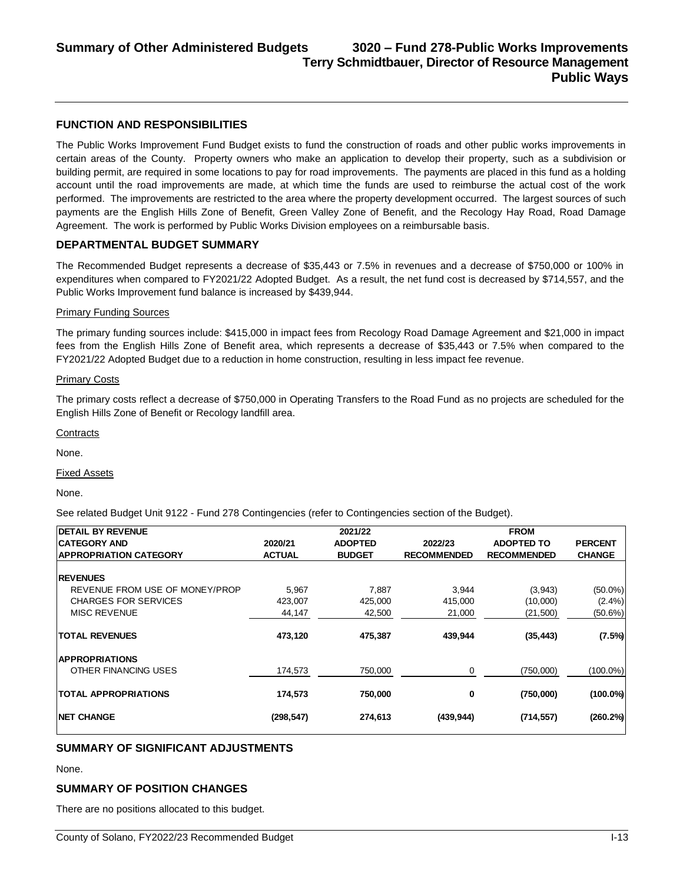#### **FUNCTION AND RESPONSIBILITIES**

The Public Works Improvement Fund Budget exists to fund the construction of roads and other public works improvements in certain areas of the County. Property owners who make an application to develop their property, such as a subdivision or building permit, are required in some locations to pay for road improvements. The payments are placed in this fund as a holding account until the road improvements are made, at which time the funds are used to reimburse the actual cost of the work performed. The improvements are restricted to the area where the property development occurred. The largest sources of such payments are the English Hills Zone of Benefit, Green Valley Zone of Benefit, and the Recology Hay Road, Road Damage Agreement. The work is performed by Public Works Division employees on a reimbursable basis.

#### **DEPARTMENTAL BUDGET SUMMARY**

The Recommended Budget represents a decrease of \$35,443 or 7.5% in revenues and a decrease of \$750,000 or 100% in expenditures when compared to FY2021/22 Adopted Budget. As a result, the net fund cost is decreased by \$714,557, and the Public Works Improvement fund balance is increased by \$439,944.

#### Primary Funding Sources

The primary funding sources include: \$415,000 in impact fees from Recology Road Damage Agreement and \$21,000 in impact fees from the English Hills Zone of Benefit area, which represents a decrease of \$35,443 or 7.5% when compared to the FY2021/22 Adopted Budget due to a reduction in home construction, resulting in less impact fee revenue.

#### Primary Costs

The primary costs reflect a decrease of \$750,000 in Operating Transfers to the Road Fund as no projects are scheduled for the English Hills Zone of Benefit or Recology landfill area.

**Contracts** 

None.

Fixed Assets

None.

See related Budget Unit 9122 - Fund 278 Contingencies (refer to Contingencies section of the Budget).

| <b>IDETAIL BY REVENUE</b>      |               | 2021/22        |                    | <b>FROM</b>        |                |
|--------------------------------|---------------|----------------|--------------------|--------------------|----------------|
| <b>ICATEGORY AND</b>           | 2020/21       | <b>ADOPTED</b> | 2022/23            | <b>ADOPTED TO</b>  | <b>PERCENT</b> |
| <b>APPROPRIATION CATEGORY</b>  | <b>ACTUAL</b> | <b>BUDGET</b>  | <b>RECOMMENDED</b> | <b>RECOMMENDED</b> | <b>CHANGE</b>  |
|                                |               |                |                    |                    |                |
| <b>IREVENUES</b>               |               |                |                    |                    |                |
| REVENUE FROM USE OF MONEY/PROP | 5,967         | 7,887          | 3,944              | (3,943)            | $(50.0\%)$     |
| <b>CHARGES FOR SERVICES</b>    | 423,007       | 425,000        | 415,000            | (10,000)           | $(2.4\%)$      |
| <b>MISC REVENUE</b>            | 44,147        | 42,500         | 21,000             | (21,500)           | $(50.6\%)$     |
| <b>ITOTAL REVENUES</b>         | 473,120       | 475,387        | 439,944            | (35, 443)          | (7.5%)         |
| <b>APPROPRIATIONS</b>          |               |                |                    |                    |                |
| OTHER FINANCING USES           | 174,573       | 750.000        | 0                  | (750,000)          | $(100.0\%)$    |
| <b>TOTAL APPROPRIATIONS</b>    | 174,573       | 750,000        | 0                  | (750,000)          | $(100.0\%)$    |
| <b>INET CHANGE</b>             | (298, 547)    | 274,613        | (439, 944)         | (714, 557)         | $(260.2\%)$    |

# **SUMMARY OF SIGNIFICANT ADJUSTMENTS**

None.

# **SUMMARY OF POSITION CHANGES**

There are no positions allocated to this budget.